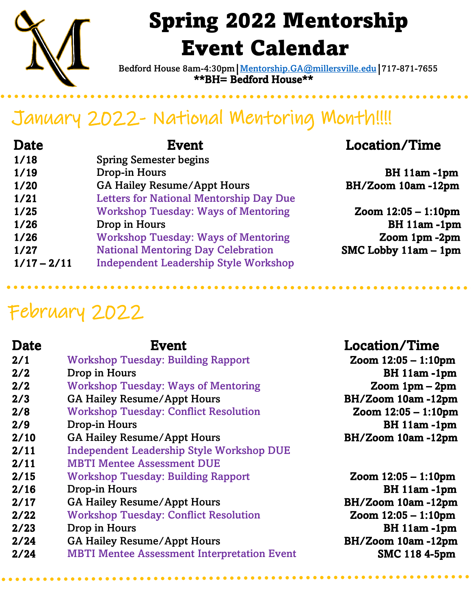

# Spring 2022 Mentorship Event Calendar

\*\*BH= Bedford House\*\* Bedford House 8am-4:30pm | [Mentorship.GA@millersville.edu](mailto:Mentorship.GA@millersville.edu) | 717-871-7655

## January 2022- National Mentoring Month!!!!

| <b>Date</b>   | <b>Event</b>                                   | <b>Location/Time</b>   |
|---------------|------------------------------------------------|------------------------|
| 1/18          | <b>Spring Semester begins</b>                  |                        |
| 1/19          | Drop-in Hours                                  | $BH$ 11am -1pm         |
| 1/20          | <b>GA Hailey Resume/Appt Hours</b>             | BH/Zoom 10am-12pm      |
| 1/21          | <b>Letters for National Mentorship Day Due</b> |                        |
| 1/25          | <b>Workshop Tuesday: Ways of Mentoring</b>     | Zoom $12:05 - 1:10$ pm |
| 1/26          | Drop in Hours                                  | BH 11am-1pm            |
| 1/26          | <b>Workshop Tuesday: Ways of Mentoring</b>     | Zoom 1pm -2pm          |
| 1/27          | <b>National Mentoring Day Celebration</b>      | SMC Lobby $11am - 1pm$ |
| $1/17 - 2/11$ | <b>Independent Leadership Style Workshop</b>   |                        |

### February 2022

### Date Event Event Location/Time 2/1 Workshop Tuesday: Building Rapport **Zoom 12:05 – 1:10pm** 2/2 Drop in Hours BH 11am -1pm 2/2 Workshop Tuesday: Ways of Mentoring 200 Zoom 1pm – 2pm 2/3 GA Hailey Resume/Appt Hours BH/Zoom 10am -12pm 2/8 Workshop Tuesday: Conflict Resolution **Zoom 12:05 – 1:10pm** 2/9 Drop-in Hours BH 11am -1pm 2/10 GA Hailey Resume/Appt Hours BH/Zoom 10am -12pm 2/11 Independent Leadership Style Workshop DUE 2/11 MBTI Mentee Assessment DUE 2/15 Workshop Tuesday: Building Rapport **Zoom 12:05 – 1:10pm** 2/16 Drop-in Hours BH 11am -1pm 2/17 GA Hailey Resume/Appt Hours BH/Zoom 10am -12pm 2/22 Workshop Tuesday: Conflict Resolution Zoom 12:05 – 1:10pm 2/23 Drop in Hours BH 11am -1pm 2/24 GA Hailey Resume/Appt Hours BH/Zoom 10am -12pm 2/24 MBTI Mentee Assessment Interpretation Event SMC 118 4-5pm